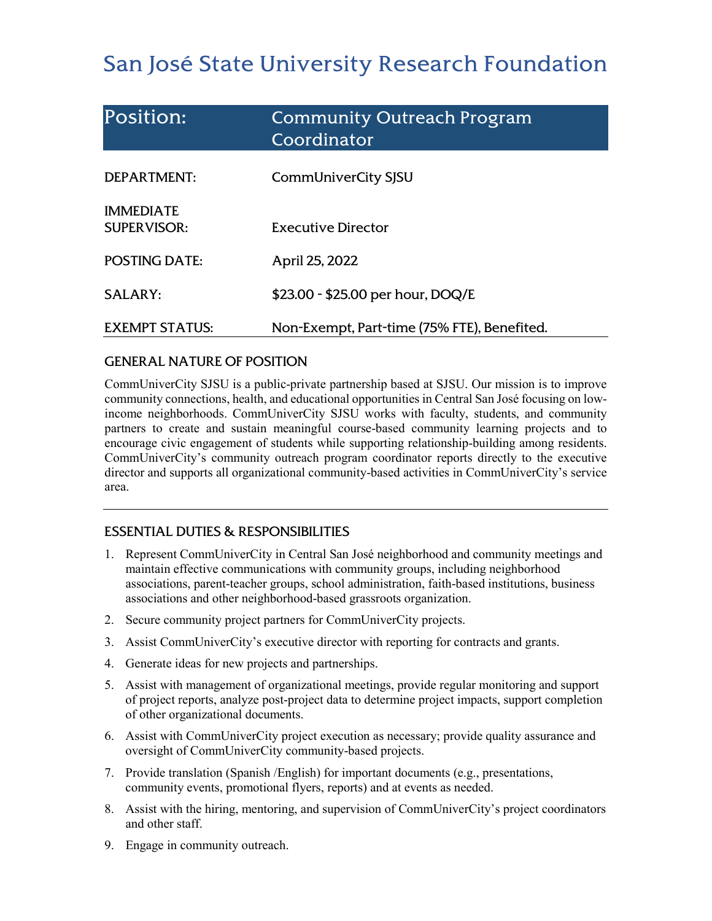# San José State University Research Foundation

| <b>Position:</b>                       | <b>Community Outreach Program</b><br>Coordinator |
|----------------------------------------|--------------------------------------------------|
| DEPARTMENT:                            | CommUniverCity SJSU                              |
| <b>IMMEDIATE</b><br><b>SUPERVISOR:</b> | Executive Director                               |
| <b>POSTING DATE:</b>                   | April 25, 2022                                   |
| <b>SALARY:</b>                         | \$23.00 - \$25.00 per hour, DOQ/E                |
| <b>EXEMPT STATUS:</b>                  | Non-Exempt, Part-time (75% FTE), Benefited.      |

## GENERAL NATURE OF POSITION

CommUniverCity SJSU is a public-private partnership based at SJSU. Our mission is to improve community connections, health, and educational opportunities in Central San José focusing on lowincome neighborhoods. CommUniverCity SJSU works with faculty, students, and community partners to create and sustain meaningful course-based community learning projects and to encourage civic engagement of students while supporting relationship-building among residents. CommUniverCity's community outreach program coordinator reports directly to the executive director and supports all organizational community-based activities in CommUniverCity's service area.

# ESSENTIAL DUTIES & RESPONSIBILITIES

- 1. Represent CommUniverCity in Central San José neighborhood and community meetings and maintain effective communications with community groups, including neighborhood associations, parent-teacher groups, school administration, faith-based institutions, business associations and other neighborhood-based grassroots organization.
- 2. Secure community project partners for CommUniverCity projects.
- 3. Assist CommUniverCity's executive director with reporting for contracts and grants.
- 4. Generate ideas for new projects and partnerships.
- 5. Assist with management of organizational meetings, provide regular monitoring and support of project reports, analyze post-project data to determine project impacts, support completion of other organizational documents.
- 6. Assist with CommUniverCity project execution as necessary; provide quality assurance and oversight of CommUniverCity community-based projects.
- 7. Provide translation (Spanish /English) for important documents (e.g., presentations, community events, promotional flyers, reports) and at events as needed.
- 8. Assist with the hiring, mentoring, and supervision of CommUniverCity's project coordinators and other staff.
- 9. Engage in community outreach.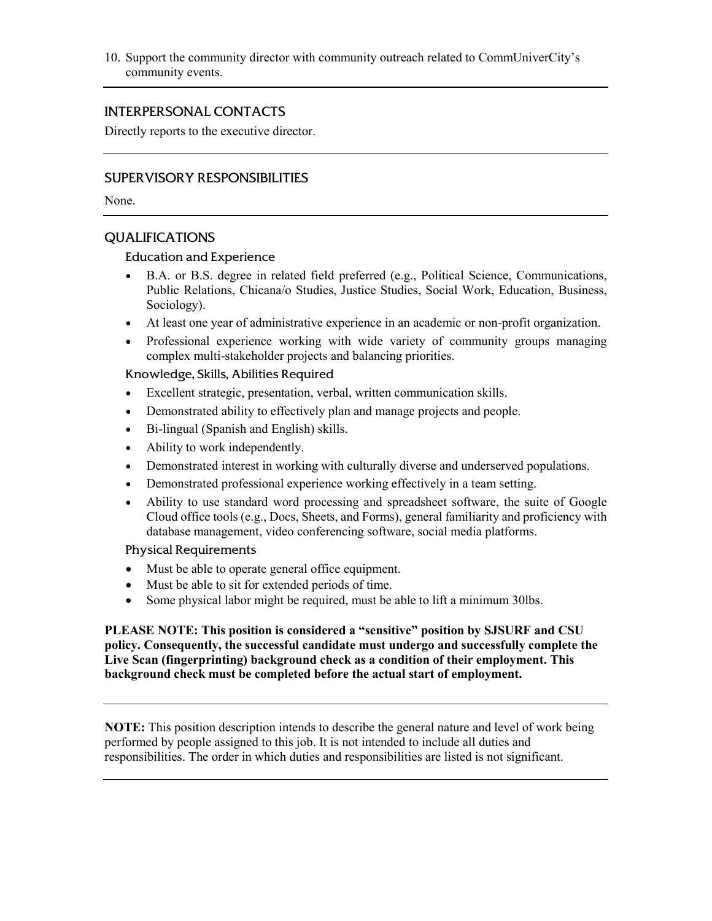10. Support the community director with community outreach related to CommUniverCity's community events.

## INTERPERSONAL CONTACTS

Directly reports to the executive director.

### SUPERVISORY RESPONSIBILITIES

None.

### QUALIFICATIONS

#### Education and Experience

- B.A. or B.S. degree in related field preferred (e.g., Political Science, Communications, Public Relations, Chicana/o Studies, Justice Studies, Social Work, Education, Business, Sociology).
- At least one year of administrative experience in an academic or non-profit organization.
- Professional experience working with wide variety of community groups managing complex multi-stakeholder projects and balancing priorities.

#### Knowledge, Skills, Abilities Required

- Excellent strategic, presentation, verbal, written communication skills.
- Demonstrated ability to effectively plan and manage projects and people.
- Bi-lingual (Spanish and English) skills.
- Ability to work independently.
- Demonstrated interest in working with culturally diverse and underserved populations.
- Demonstrated professional experience working effectively in a team setting.
- Ability to use standard word processing and spreadsheet software, the suite of Google Cloud office tools (e.g., Docs, Sheets, and Forms), general familiarity and proficiency with database management, video conferencing software, social media platforms.

#### Physical Requirements

- Must be able to operate general office equipment.
- Must be able to sit for extended periods of time.
- Some physical labor might be required, must be able to lift a minimum 30lbs.

**PLEASE NOTE: This position is considered a "sensitive" position by SJSURF and CSU policy. Consequently, the successful candidate must undergo and successfully complete the Live Scan (fingerprinting) background check as a condition of their employment. This background check must be completed before the actual start of employment.**

**NOTE:** This position description intends to describe the general nature and level of work being performed by people assigned to this job. It is not intended to include all duties and responsibilities. The order in which duties and responsibilities are listed is not significant.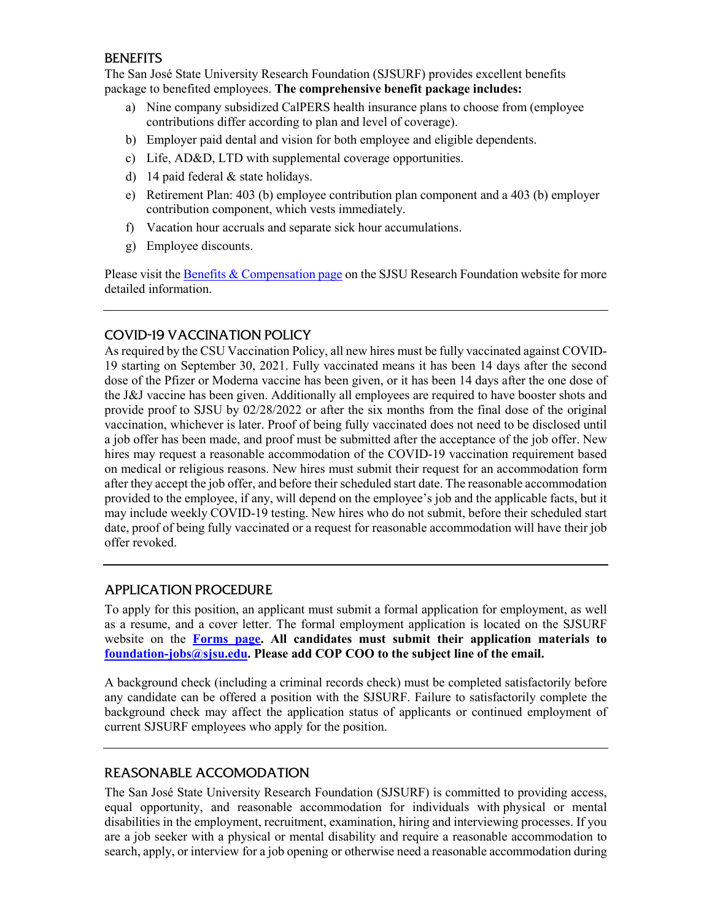## **BENEFITS**

The San José State University Research Foundation (SJSURF) provides excellent benefits package to benefited employees. **The comprehensive benefit package includes:**

- a) Nine company subsidized CalPERS health insurance plans to choose from (employee contributions differ according to plan and level of coverage).
- b) Employer paid dental and vision for both employee and eligible dependents.
- c) Life, AD&D, LTD with supplemental coverage opportunities.
- d) 14 paid federal & state holidays.
- e) Retirement Plan: 403 (b) employee contribution plan component and a 403 (b) employer contribution component, which vests immediately.
- f) Vacation hour accruals and separate sick hour accumulations.
- g) Employee discounts.

Please visit the **Benefits & Compensation page** on the SJSU Research Foundation website for more detailed information.

# COVID-19 VACCINATION POLICY

As required by the CSU Vaccination Policy, all new hires must be fully vaccinated against COVID-19 starting on September 30, 2021. Fully vaccinated means it has been 14 days after the second dose of the Pfizer or Moderna vaccine has been given, or it has been 14 days after the one dose of the J&J vaccine has been given. Additionally all employees are required to have booster shots and provide proof to SJSU by 02/28/2022 or after the six months from the final dose of the original vaccination, whichever is later. Proof of being fully vaccinated does not need to be disclosed until a job offer has been made, and proof must be submitted after the acceptance of the job offer. New hires may request a reasonable accommodation of the COVID-19 vaccination requirement based on medical or religious reasons. New hires must submit their request for an accommodation form after they accept the job offer, and before their scheduled start date. The reasonable accommodation provided to the employee, if any, will depend on the employee's job and the applicable facts, but it may include weekly COVID-19 testing. New hires who do not submit, before their scheduled start date, proof of being fully vaccinated or a request for reasonable accommodation will have their job offer revoked.

## APPLICATION PROCEDURE

To apply for this position, an applicant must submit a formal application for employment, as well as a resume, and a cover letter. The formal employment application is located on the SJSURF website on the **[Forms page.](https://www.sjsu.edu/researchfoundation/resources/forms/index.php) All candidates must submit their application materials to [foundation-jobs@sjsu.edu.](mailto:foundation-jobs@sjsu.edu) Please add COP COO to the subject line of the email.**

A background check (including a criminal records check) must be completed satisfactorily before any candidate can be offered a position with the SJSURF. Failure to satisfactorily complete the background check may affect the application status of applicants or continued employment of current SJSURF employees who apply for the position.

# REASONABLE ACCOMODATION

The San José State University Research Foundation (SJSURF) is committed to providing access, equal opportunity, and reasonable accommodation for individuals with physical or mental disabilities in the employment, recruitment, examination, hiring and interviewing processes. If you are a job seeker with a physical or mental disability and require a reasonable accommodation to search, apply, or interview for a job opening or otherwise need a reasonable accommodation during